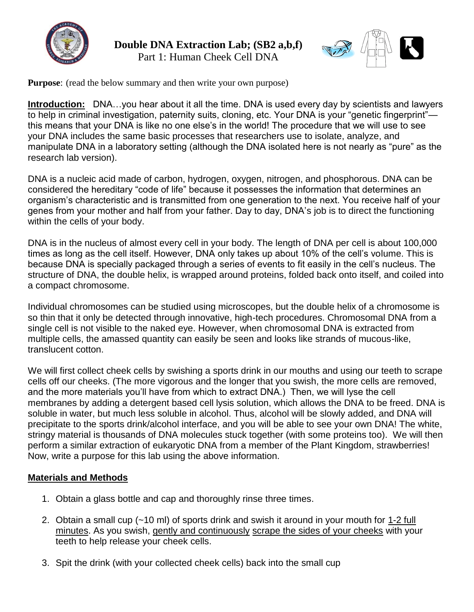

**Double DNA Extraction Lab; (SB2 a,b,f)** Part 1: Human Cheek Cell DNA



**Purpose**: (read the below summary and then write your own purpose)

**Introduction:** DNA...you hear about it all the time. DNA is used every day by scientists and lawyers to help in criminal investigation, paternity suits, cloning, etc. Your DNA is your "genetic fingerprint" this means that your DNA is like no one else's in the world! The procedure that we will use to see your DNA includes the same basic processes that researchers use to isolate, analyze, and manipulate DNA in a laboratory setting (although the DNA isolated here is not nearly as "pure" as the research lab version).

DNA is a nucleic acid made of carbon, hydrogen, oxygen, nitrogen, and phosphorous. DNA can be considered the hereditary "code of life" because it possesses the information that determines an organism's characteristic and is transmitted from one generation to the next. You receive half of your genes from your mother and half from your father. Day to day, DNA's job is to direct the functioning within the cells of your body.

DNA is in the nucleus of almost every cell in your body. The length of DNA per cell is about 100,000 times as long as the cell itself. However, DNA only takes up about 10% of the cell's volume. This is because DNA is specially packaged through a series of events to fit easily in the cell's nucleus. The structure of DNA, the double helix, is wrapped around proteins, folded back onto itself, and coiled into a compact chromosome.

Individual chromosomes can be studied using microscopes, but the double helix of a chromosome is so thin that it only be detected through innovative, high-tech procedures. Chromosomal DNA from a single cell is not visible to the naked eye. However, when chromosomal DNA is extracted from multiple cells, the amassed quantity can easily be seen and looks like strands of mucous-like, translucent cotton.

We will first collect cheek cells by swishing a sports drink in our mouths and using our teeth to scrape cells off our cheeks. (The more vigorous and the longer that you swish, the more cells are removed, and the more materials you'll have from which to extract DNA.) Then, we will lyse the cell membranes by adding a detergent based cell lysis solution, which allows the DNA to be freed. DNA is soluble in water, but much less soluble in alcohol. Thus, alcohol will be slowly added, and DNA will precipitate to the sports drink/alcohol interface, and you will be able to see your own DNA! The white, stringy material is thousands of DNA molecules stuck together (with some proteins too). We will then perform a similar extraction of eukaryotic DNA from a member of the Plant Kingdom, strawberries! Now, write a purpose for this lab using the above information.

### **Materials and Methods**

- 1. Obtain a glass bottle and cap and thoroughly rinse three times.
- 2. Obtain a small cup (~10 ml) of sports drink and swish it around in your mouth for 1-2 full minutes. As you swish, gently and continuously scrape the sides of your cheeks with your teeth to help release your cheek cells.
- 3. Spit the drink (with your collected cheek cells) back into the small cup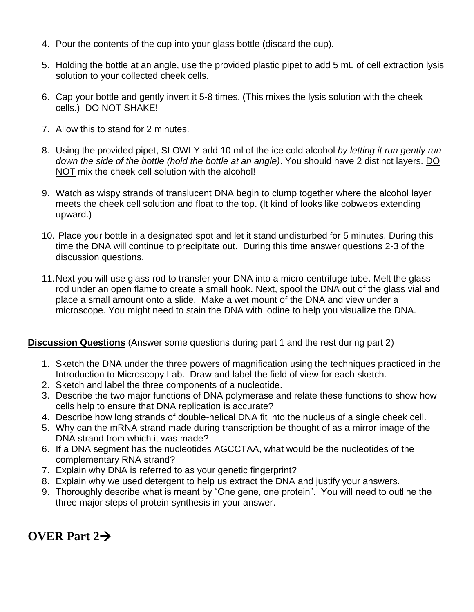- 4. Pour the contents of the cup into your glass bottle (discard the cup).
- 5. Holding the bottle at an angle, use the provided plastic pipet to add 5 mL of cell extraction lysis solution to your collected cheek cells.
- 6. Cap your bottle and gently invert it 5-8 times. (This mixes the lysis solution with the cheek cells.) DO NOT SHAKE!
- 7. Allow this to stand for 2 minutes.
- 8. Using the provided pipet, SLOWLY add 10 ml of the ice cold alcohol *by letting it run gently run down the side of the bottle (hold the bottle at an angle)*. You should have 2 distinct layers. DO NOT mix the cheek cell solution with the alcohol!
- 9. Watch as wispy strands of translucent DNA begin to clump together where the alcohol layer meets the cheek cell solution and float to the top. (It kind of looks like cobwebs extending upward.)
- 10. Place your bottle in a designated spot and let it stand undisturbed for 5 minutes. During this time the DNA will continue to precipitate out. During this time answer questions 2-3 of the discussion questions.
- 11.Next you will use glass rod to transfer your DNA into a micro-centrifuge tube. Melt the glass rod under an open flame to create a small hook. Next, spool the DNA out of the glass vial and place a small amount onto a slide. Make a wet mount of the DNA and view under a microscope. You might need to stain the DNA with iodine to help you visualize the DNA.

#### **Discussion Questions** (Answer some questions during part 1 and the rest during part 2)

- 1. Sketch the DNA under the three powers of magnification using the techniques practiced in the Introduction to Microscopy Lab. Draw and label the field of view for each sketch.
- 2. Sketch and label the three components of a nucleotide.
- 3. Describe the two major functions of DNA polymerase and relate these functions to show how cells help to ensure that DNA replication is accurate?
- 4. Describe how long strands of double-helical DNA fit into the nucleus of a single cheek cell.
- 5. Why can the mRNA strand made during transcription be thought of as a mirror image of the DNA strand from which it was made?
- 6. If a DNA segment has the nucleotides AGCCTAA, what would be the nucleotides of the complementary RNA strand?
- 7. Explain why DNA is referred to as your genetic fingerprint?
- 8. Explain why we used detergent to help us extract the DNA and justify your answers.
- 9. Thoroughly describe what is meant by "One gene, one protein". You will need to outline the three major steps of protein synthesis in your answer.

# **OVER Part 2**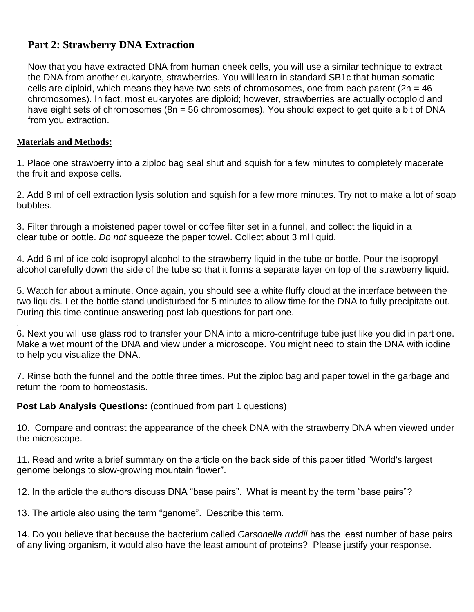# **Part 2: Strawberry DNA Extraction**

Now that you have extracted DNA from human cheek cells, you will use a similar technique to extract the DNA from another eukaryote, strawberries. You will learn in standard SB1c that human somatic cells are diploid, which means they have two sets of chromosomes, one from each parent ( $2n = 46$ ) chromosomes). In fact, most eukaryotes are diploid; however, strawberries are actually octoploid and have eight sets of chromosomes (8n = 56 chromosomes). You should expect to get quite a bit of DNA from you extraction.

#### **Materials and Methods:**

1. Place one strawberry into a ziploc bag seal shut and squish for a few minutes to completely macerate the fruit and expose cells.

2. Add 8 ml of cell extraction lysis solution and squish for a few more minutes. Try not to make a lot of soap bubbles.

3. Filter through a moistened paper towel or coffee filter set in a funnel, and collect the liquid in a clear tube or bottle. *Do not* squeeze the paper towel. Collect about 3 ml liquid.

4. Add 6 ml of ice cold isopropyl alcohol to the strawberry liquid in the tube or bottle. Pour the isopropyl alcohol carefully down the side of the tube so that it forms a separate layer on top of the strawberry liquid.

5. Watch for about a minute. Once again, you should see a white fluffy cloud at the interface between the two liquids. Let the bottle stand undisturbed for 5 minutes to allow time for the DNA to fully precipitate out. During this time continue answering post lab questions for part one.

. 6. Next you will use glass rod to transfer your DNA into a micro-centrifuge tube just like you did in part one. Make a wet mount of the DNA and view under a microscope. You might need to stain the DNA with iodine to help you visualize the DNA.

7. Rinse both the funnel and the bottle three times. Put the ziploc bag and paper towel in the garbage and return the room to homeostasis.

**Post Lab Analysis Questions:** (continued from part 1 questions)

10. Compare and contrast the appearance of the cheek DNA with the strawberry DNA when viewed under the microscope.

11. Read and write a brief summary on the article on the back side of this paper titled "World's largest genome belongs to slow-growing mountain flower".

12. In the article the authors discuss DNA "base pairs". What is meant by the term "base pairs"?

13. The article also using the term "genome". Describe this term.

14. Do you believe that because the bacterium called *Carsonella ruddii* has the least number of base pairs of any living organism, it would also have the least amount of proteins? Please justify your response.